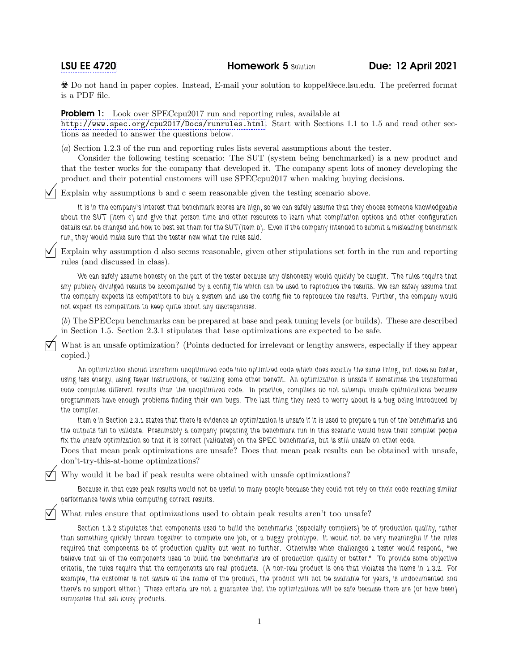Do not hand in paper copies. Instead, E-mail your solution to koppel@ece.lsu.edu. The preferred format is a PDF file.

**Problem 1:** Look over SPECcpu2017 run and reporting rules, available at

<http://www.spec.org/cpu2017/Docs/runrules.html>. Start with Sections 1.1 to 1.5 and read other sections as needed to answer the questions below.

(a) Section 1.2.3 of the run and reporting rules lists several assumptions about the tester.

Consider the following testing scenario: The SUT (system being benchmarked) is a new product and that the tester works for the company that developed it. The company spent lots of money developing the product and their potential customers will use SPECcpu2017 when making buying decisions.

 $\nabla$  Explain why assumptions b and c seem reasonable given the testing scenario above.

It is in the company's interest that benchmark scores are high, so we can safely assume that they choose someone knowledgeable about the SUT (item c) and give that person time and other resources to learn what compilation options and other configuration details can be changed and how to best set them for the SUT(item b). Even if the company intended to submit a misleading benchmark run, they would make sure that the tester new what the rules said.

 Explain why assumption d also seems reasonable, given other stipulations set forth in the run and reporting rules (and discussed in class).

We can safely assume honesty on the part of the tester because any dishonesty would quickly be caught. The rules require that any publicly divulged results be accompanied by a config file which can be used to reproduce the results. We can safely assume that the company expects its competitors to buy a system and use the config file to reproduce the results. Further, the company would not expect its competitors to keep quite about any discrepancies.

(b) The SPECcpu benchmarks can be prepared at base and peak tuning levels (or builds). These are described in Section 1.5. Section 2.3.1 stipulates that base optimizations are expected to be safe.

 What is an unsafe optimization? (Points deducted for irrelevant or lengthy answers, especially if they appear copied.)

An optimization should transform unoptimized code into optimized code which does exactly the same thing, but does so faster, using less energy, using fewer instructions, or realizing some other benefit. An optimization is unsafe if sometimes the transformed code computes different results than the unoptimized code. In practice, compilers do not attempt unsafe optimizations because programmers have enough problems finding their own bugs. The last thing they need to worry about is a bug being introduced by the compiler.

Item e in Section 2.3.1 states that there is evidence an optimization is unsafe if it is used to prepare a run of the benchmarks and the outputs fail to validate. Presumably a company preparing the benchmark run in this scenario would have their compiler people fix the unsafe optimization so that it is correct (validates) on the SPEC benchmarks, but is still unsafe on other code.

Does that mean peak optimizations are unsafe? Does that mean peak results can be obtained with unsafe, don't-try-this-at-home optimizations?

 $\nabla$  Why would it be bad if peak results were obtained with unsafe optimizations?

Because in that case peak results would not be useful to many people because they could not rely on their code reaching similar performance levels while computing correct results.

What rules ensure that optimizations used to obtain peak results aren't too unsafe?

Section 1.3.2 stipulates that components used to build the benchmarks (especially compilers) be of production quality, rather than something quickly thrown together to complete one job, or a buggy prototype. It would not be very meaningful if the rules required that components be of production quality but went no further. Otherwise when challenged a tester would respond, "we believe that all of the components used to build the benchmarks are of production quality or better." To provide some objective criteria, the rules require that the components are real products. (A non-real product is one that violates the items in 1.3.2. For example, the customer is not aware of the name of the product, the product will not be available for years, is undocumented and there's no support either.) These criteria are not a guarantee that the optimizations will be safe because there are (or have been) companies that sell lousy products.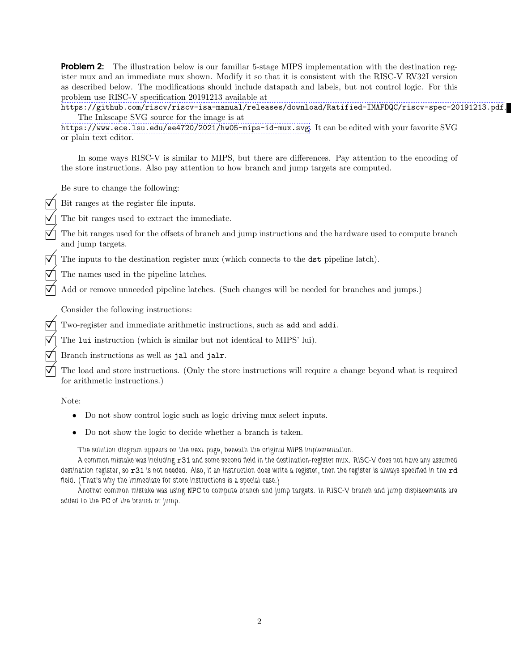**Problem 2:** The illustration below is our familiar 5-stage MIPS implementation with the destination register mux and an immediate mux shown. Modify it so that it is consistent with the RISC-V RV32I version as described below. The modifications should include datapath and labels, but not control logic. For this problem use RISC-V specification 20191213 available at

<https://github.com/riscv/riscv-isa-manual/releases/download/Ratified-IMAFDQC/riscv-spec-20191213.pdf>. The Inkscape SVG source for the image is at

<https://www.ece.lsu.edu/ee4720/2021/hw05-mips-id-mux.svg>. It can be edited with your favorite SVG or plain text editor.

In some ways RISC-V is similar to MIPS, but there are differences. Pay attention to the encoding of the store instructions. Also pay attention to how branch and jump targets are computed.

Be sure to change the following:

Bit ranges at the register file inputs.

- The bit ranges used to extract the immediate.
- The bit ranges used for the offsets of branch and jump instructions and the hardware used to compute branch and jump targets.
- The inputs to the destination register mux (which connects to the dst pipeline latch).
- The names used in the pipeline latches.
- Add or remove unneeded pipeline latches. (Such changes will be needed for branches and jumps.)

Consider the following instructions:

Two-register and immediate arithmetic instructions, such as add and addi.

- The lui instruction (which is similar but not identical to MIPS' lui).
- Branch instructions as well as jal and jalr.
	- The load and store instructions. (Only the store instructions will require a change beyond what is required for arithmetic instructions.)

Note:

- Do not show control logic such as logic driving mux select inputs.
- Do not show the logic to decide whether a branch is taken.

The solution diagram appears on the next page, beneath the original MIPS implementation.

A common mistake was including x31 and some second field in the destination-register mux. RISC-V does not have any assumed destination register, so r31 is not needed. Also, if an instruction does write a register, then the register is always specified in the rd field. (That's why the immediate for store instructions is a special case.)

Another common mistake was using NPC to compute branch and jump targets. In RISC-V branch and jump displacements are added to the PC of the branch or jump.